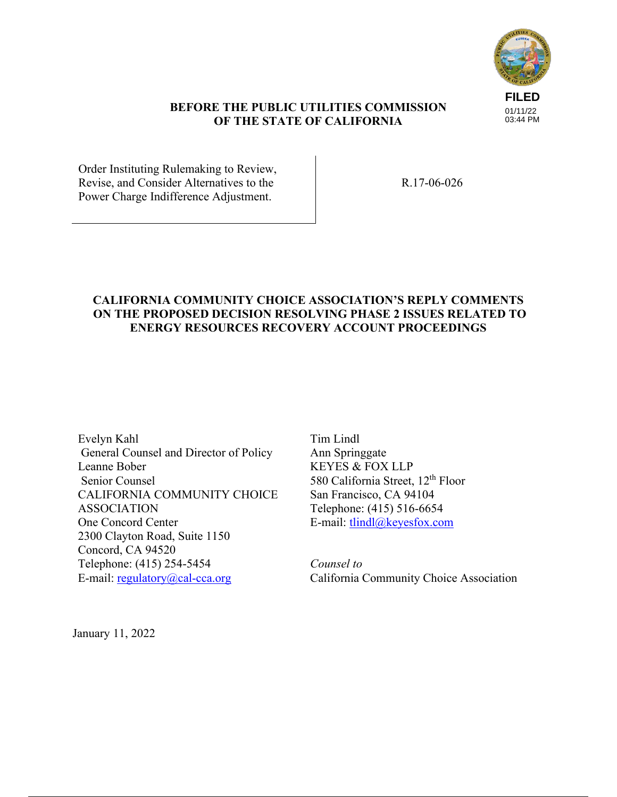

#### **BEFORE THE PUBLIC UTILITIES COMMISSION OF THE STATE OF CALIFORNIA**

Order Instituting Rulemaking to Review, Revise, and Consider Alternatives to the Power Charge Indifference Adjustment.

R.17-06-026

# **CALIFORNIA COMMUNITY CHOICE ASSOCIATION'S REPLY COMMENTS ON THE PROPOSED DECISION RESOLVING PHASE 2 ISSUES RELATED TO ENERGY RESOURCES RECOVERY ACCOUNT PROCEEDINGS**

Evelyn Kahl General Counsel and Director of Policy Leanne Bober Senior Counsel CALIFORNIA COMMUNITY CHOICE ASSOCIATION One Concord Center 2300 Clayton Road, Suite 1150 Concord, CA 94520 Telephone: (415) 254-5454 E-mail:  $regularov@cal-cca.org$ 

Tim Lindl Ann Springgate KEYES & FOX LLP 580 California Street, 12<sup>th</sup> Floor San Francisco, CA 94104 Telephone: (415) 516-6654 E-mail: tlindl@keyesfox.com

*Counsel to*  California Community Choice Association

January 11, 2022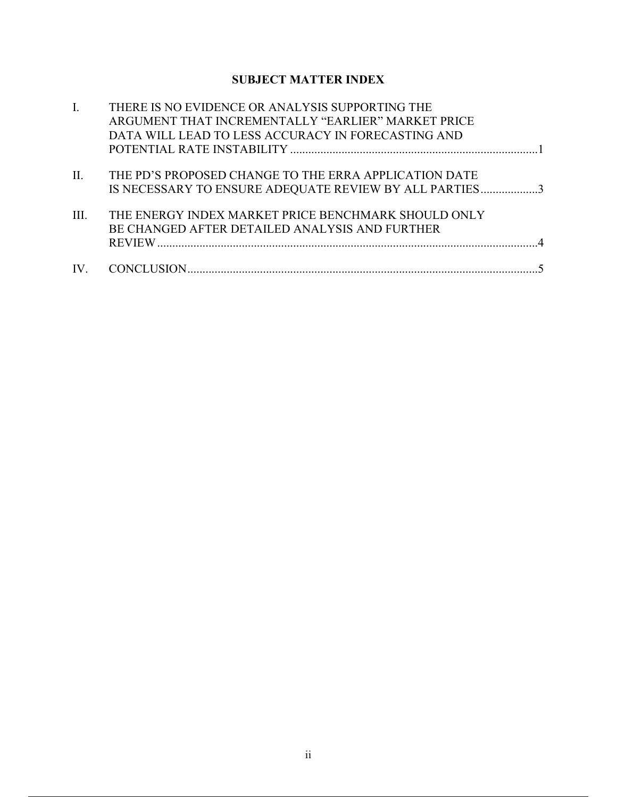# **SUBJECT MATTER INDEX**

|                   | THERE IS NO EVIDENCE OR ANALYSIS SUPPORTING THE        |  |
|-------------------|--------------------------------------------------------|--|
|                   | ARGUMENT THAT INCREMENTALLY "EARLIER" MARKET PRICE     |  |
|                   | DATA WILL LEAD TO LESS ACCURACY IN FORECASTING AND     |  |
|                   |                                                        |  |
|                   |                                                        |  |
| $\prod$ .         | THE PD'S PROPOSED CHANGE TO THE ERRA APPLICATION DATE  |  |
|                   | IS NECESSARY TO ENSURE ADEQUATE REVIEW BY ALL PARTIES3 |  |
|                   |                                                        |  |
| III.              | THE ENERGY INDEX MARKET PRICE BENCHMARK SHOULD ONLY    |  |
|                   | BE CHANGED AFTER DETAILED ANALYSIS AND FURTHER         |  |
|                   |                                                        |  |
|                   |                                                        |  |
| $\mathbf{IV}_{-}$ |                                                        |  |
|                   |                                                        |  |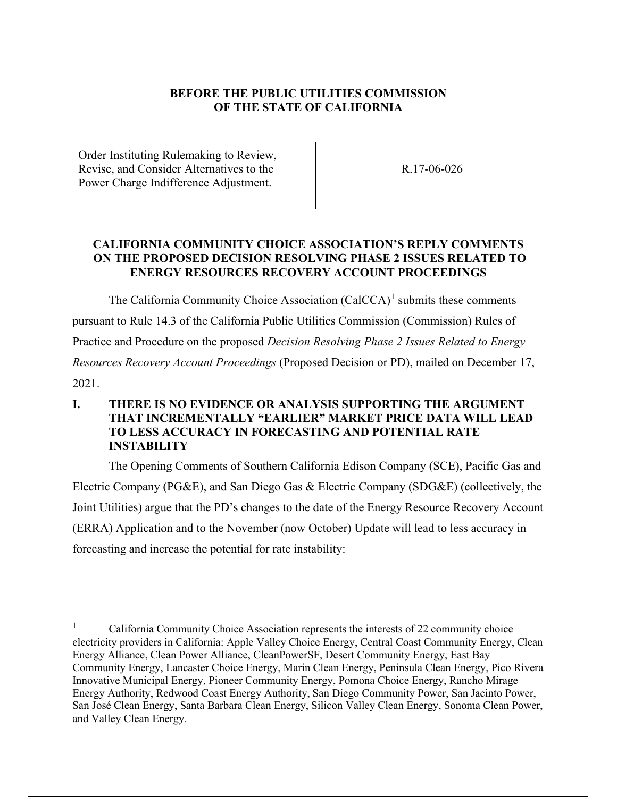# **BEFORE THE PUBLIC UTILITIES COMMISSION OF THE STATE OF CALIFORNIA**

Order Instituting Rulemaking to Review, Revise, and Consider Alternatives to the Power Charge Indifference Adjustment.

R.17-06-026

## **CALIFORNIA COMMUNITY CHOICE ASSOCIATION'S REPLY COMMENTS ON THE PROPOSED DECISION RESOLVING PHASE 2 ISSUES RELATED TO ENERGY RESOURCES RECOVERY ACCOUNT PROCEEDINGS**

The California Community Choice Association  $(CaICCA)^1$  submits these comments pursuant to Rule 14.3 of the California Public Utilities Commission (Commission) Rules of Practice and Procedure on the proposed *Decision Resolving Phase 2 Issues Related to Energy Resources Recovery Account Proceedings* (Proposed Decision or PD), mailed on December 17, 2021.

# **I. THERE IS NO EVIDENCE OR ANALYSIS SUPPORTING THE ARGUMENT THAT INCREMENTALLY "EARLIER" MARKET PRICE DATA WILL LEAD TO LESS ACCURACY IN FORECASTING AND POTENTIAL RATE INSTABILITY**

The Opening Comments of Southern California Edison Company (SCE), Pacific Gas and Electric Company (PG&E), and San Diego Gas & Electric Company (SDG&E) (collectively, the Joint Utilities) argue that the PD's changes to the date of the Energy Resource Recovery Account (ERRA) Application and to the November (now October) Update will lead to less accuracy in forecasting and increase the potential for rate instability:

<sup>1</sup> California Community Choice Association represents the interests of 22 community choice electricity providers in California: Apple Valley Choice Energy, Central Coast Community Energy, Clean Energy Alliance, Clean Power Alliance, CleanPowerSF, Desert Community Energy, East Bay Community Energy, Lancaster Choice Energy, Marin Clean Energy, Peninsula Clean Energy, Pico Rivera Innovative Municipal Energy, Pioneer Community Energy, Pomona Choice Energy, Rancho Mirage Energy Authority, Redwood Coast Energy Authority, San Diego Community Power, San Jacinto Power, San José Clean Energy, Santa Barbara Clean Energy, Silicon Valley Clean Energy, Sonoma Clean Power, and Valley Clean Energy.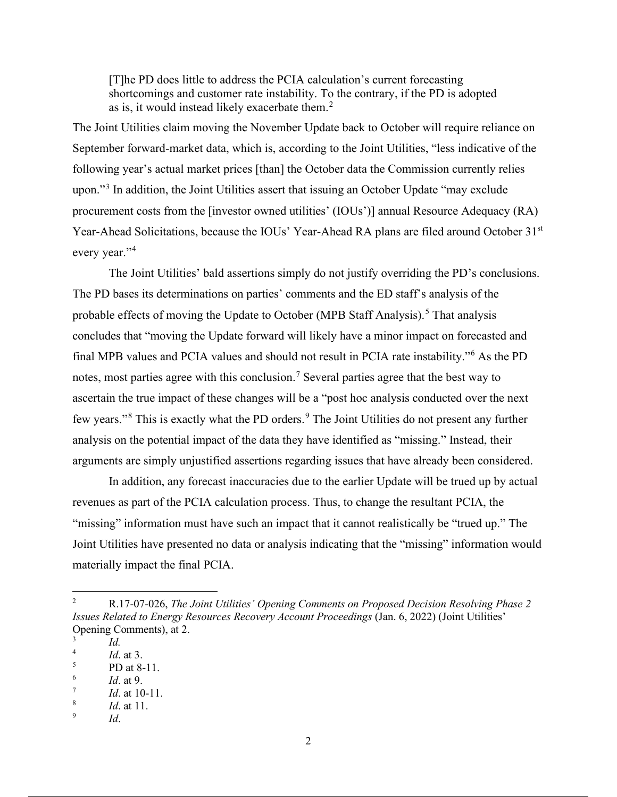[T]he PD does little to address the PCIA calculation's current forecasting shortcomings and customer rate instability. To the contrary, if the PD is adopted as is, it would instead likely exacerbate them. $2$ 

The Joint Utilities claim moving the November Update back to October will require reliance on September forward-market data, which is, according to the Joint Utilities, "less indicative of the following year's actual market prices [than] the October data the Commission currently relies upon."<sup>3</sup> In addition, the Joint Utilities assert that issuing an October Update "may exclude procurement costs from the [investor owned utilities' (IOUs')] annual Resource Adequacy (RA) Year-Ahead Solicitations, because the IOUs' Year-Ahead RA plans are filed around October 31<sup>st</sup> every year."<sup>4</sup>

The Joint Utilities' bald assertions simply do not justify overriding the PD's conclusions. The PD bases its determinations on parties' comments and the ED staff's analysis of the probable effects of moving the Update to October (MPB Staff Analysis).<sup>5</sup> That analysis concludes that "moving the Update forward will likely have a minor impact on forecasted and final MPB values and PCIA values and should not result in PCIA rate instability."<sup>6</sup> As the PD notes, most parties agree with this conclusion.<sup>7</sup> Several parties agree that the best way to ascertain the true impact of these changes will be a "post hoc analysis conducted over the next few years."<sup>8</sup> This is exactly what the PD orders.<sup>9</sup> The Joint Utilities do not present any further analysis on the potential impact of the data they have identified as "missing." Instead, their arguments are simply unjustified assertions regarding issues that have already been considered.

In addition, any forecast inaccuracies due to the earlier Update will be trued up by actual revenues as part of the PCIA calculation process. Thus, to change the resultant PCIA, the "missing" information must have such an impact that it cannot realistically be "trued up." The Joint Utilities have presented no data or analysis indicating that the "missing" information would materially impact the final PCIA.

<sup>2</sup> R.17-07-026, *The Joint Utilities' Opening Comments on Proposed Decision Resolving Phase 2 Issues Related to Energy Resources Recovery Account Proceedings* (Jan. 6, 2022) (Joint Utilities' Opening Comments), at 2.

<sup>3</sup> *Id.* 4

*Id*. at 3.

<sup>5</sup> PD at 8-11.

<sup>6</sup> *Id*. at 9. 7

*Id*. at 10-11.

<sup>8</sup> *Id*. at 11.

<sup>9</sup> *Id*.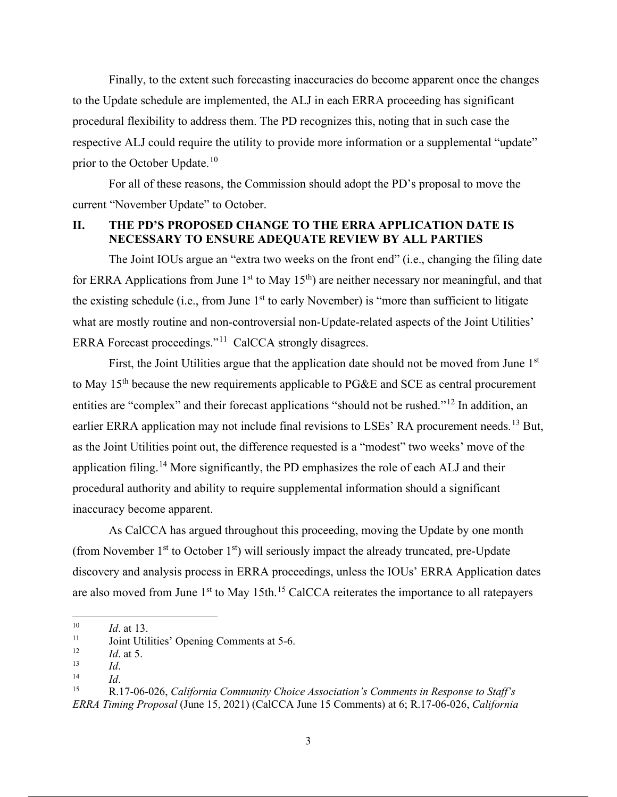Finally, to the extent such forecasting inaccuracies do become apparent once the changes to the Update schedule are implemented, the ALJ in each ERRA proceeding has significant procedural flexibility to address them. The PD recognizes this, noting that in such case the respective ALJ could require the utility to provide more information or a supplemental "update" prior to the October Update.<sup>10</sup>

For all of these reasons, the Commission should adopt the PD's proposal to move the current "November Update" to October.

#### **II. THE PD'S PROPOSED CHANGE TO THE ERRA APPLICATION DATE IS NECESSARY TO ENSURE ADEQUATE REVIEW BY ALL PARTIES**

The Joint IOUs argue an "extra two weeks on the front end" (i.e., changing the filing date for ERRA Applications from June 1<sup>st</sup> to May 15<sup>th</sup>) are neither necessary nor meaningful, and that the existing schedule (i.e., from June  $1<sup>st</sup>$  to early November) is "more than sufficient to litigate what are mostly routine and non-controversial non-Update-related aspects of the Joint Utilities' ERRA Forecast proceedings."<sup>11</sup> CalCCA strongly disagrees.

First, the Joint Utilities argue that the application date should not be moved from June 1<sup>st</sup> to May 15<sup>th</sup> because the new requirements applicable to PG&E and SCE as central procurement entities are "complex" and their forecast applications "should not be rushed."<sup>12</sup> In addition, an earlier ERRA application may not include final revisions to LSEs' RA procurement needs.<sup>13</sup> But, as the Joint Utilities point out, the difference requested is a "modest" two weeks' move of the application filing.<sup>14</sup> More significantly, the PD emphasizes the role of each ALJ and their procedural authority and ability to require supplemental information should a significant inaccuracy become apparent.

As CalCCA has argued throughout this proceeding, moving the Update by one month (from November  $1<sup>st</sup>$  to October  $1<sup>st</sup>$ ) will seriously impact the already truncated, pre-Update discovery and analysis process in ERRA proceedings, unless the IOUs' ERRA Application dates are also moved from June  $1<sup>st</sup>$  to May 15th.<sup>15</sup> CalCCA reiterates the importance to all ratepayers

 $10$  *Id.* at 13.

<sup>&</sup>lt;sup>11</sup> Joint Utilities' Opening Comments at 5-6.

 $\frac{12}{13}$  *Id.* at 5.

<sup>13</sup>*Id*. 14 *Id*. 15 R.17-06-026, *California Community Choice Association's Comments in Response to Staff's ERRA Timing Proposal* (June 15, 2021) (CalCCA June 15 Comments) at 6; R.17-06-026, *California*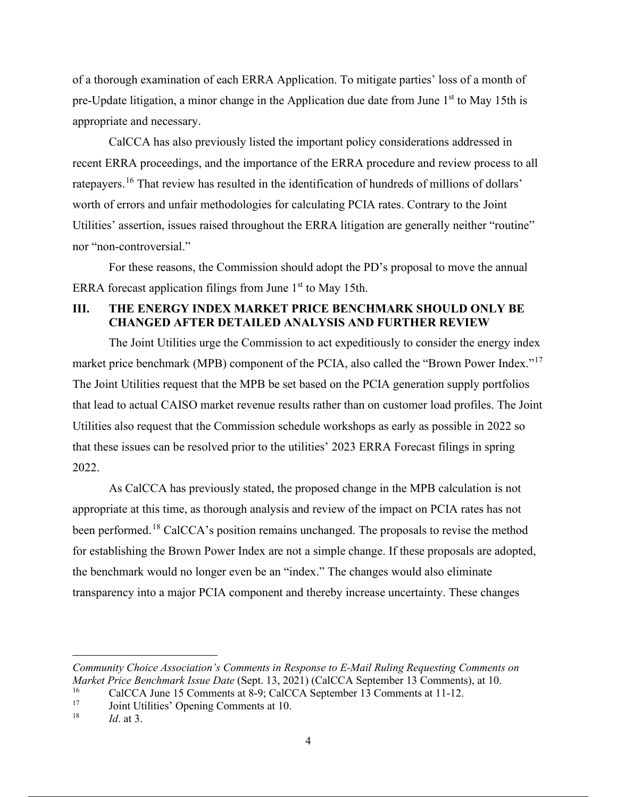of a thorough examination of each ERRA Application. To mitigate parties' loss of a month of pre-Update litigation, a minor change in the Application due date from June 1<sup>st</sup> to May 15th is appropriate and necessary.

CalCCA has also previously listed the important policy considerations addressed in recent ERRA proceedings, and the importance of the ERRA procedure and review process to all ratepayers.<sup>16</sup> That review has resulted in the identification of hundreds of millions of dollars' worth of errors and unfair methodologies for calculating PCIA rates. Contrary to the Joint Utilities' assertion, issues raised throughout the ERRA litigation are generally neither "routine" nor "non-controversial."

For these reasons, the Commission should adopt the PD's proposal to move the annual ERRA forecast application filings from June  $1<sup>st</sup>$  to May 15th.

## **III. THE ENERGY INDEX MARKET PRICE BENCHMARK SHOULD ONLY BE CHANGED AFTER DETAILED ANALYSIS AND FURTHER REVIEW**

The Joint Utilities urge the Commission to act expeditiously to consider the energy index market price benchmark (MPB) component of the PCIA, also called the "Brown Power Index."<sup>17</sup> The Joint Utilities request that the MPB be set based on the PCIA generation supply portfolios that lead to actual CAISO market revenue results rather than on customer load profiles. The Joint Utilities also request that the Commission schedule workshops as early as possible in 2022 so that these issues can be resolved prior to the utilities' 2023 ERRA Forecast filings in spring 2022.

As CalCCA has previously stated, the proposed change in the MPB calculation is not appropriate at this time, as thorough analysis and review of the impact on PCIA rates has not been performed.<sup>18</sup> CalCCA's position remains unchanged. The proposals to revise the method for establishing the Brown Power Index are not a simple change. If these proposals are adopted, the benchmark would no longer even be an "index." The changes would also eliminate transparency into a major PCIA component and thereby increase uncertainty. These changes

*Community Choice Association's Comments in Response to E-Mail Ruling Requesting Comments on Market Price Benchmark Issue Date* (Sept. 13, 2021) (CalCCA September 13 Comments), at 10.

<sup>&</sup>lt;sup>16</sup> CalCCA June 15 Comments at  $8-9$ ; CalCCA September 13 Comments at 11-12.<br><sup>17</sup> Ioint Utilities' Opening Comments at 10

<sup>&</sup>lt;sup>17</sup> Joint Utilities' Opening Comments at 10.<br><sup>18</sup> *Id.* at <sup>2</sup>

*Id.* at 3.